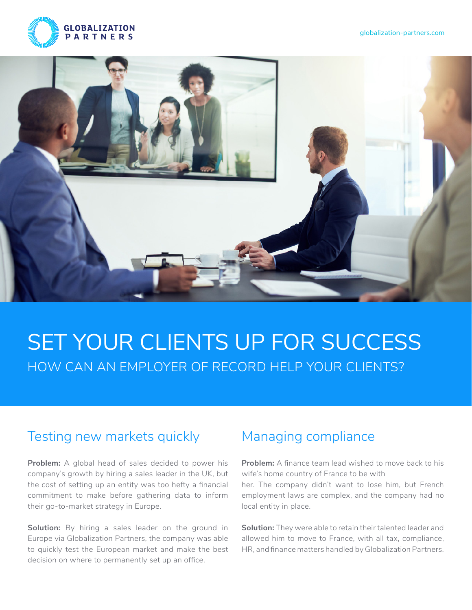



# SET YOUR CLIENTS UP FOR SUCCESS HOW CAN AN EMPLOYER OF RECORD HELP YOUR CLIENTS?

#### Testing new markets quickly Managing compliance

**Problem:** A global head of sales decided to power his company's growth by hiring a sales leader in the UK, but the cost of setting up an entity was too hefty a financial commitment to make before gathering data to inform their go-to-market strategy in Europe.

**Solution:** By hiring a sales leader on the ground in Europe via Globalization Partners, the company was able to quickly test the European market and make the best decision on where to permanently set up an office.

**Problem:** A finance team lead wished to move back to his wife's home country of France to be with her. The company didn't want to lose him, but French employment laws are complex, and the company had no local entity in place.

**Solution:** They were able to retain their talented leader and allowed him to move to France, with all tax, compliance, HR, and finance matters handled by Globalization Partners.